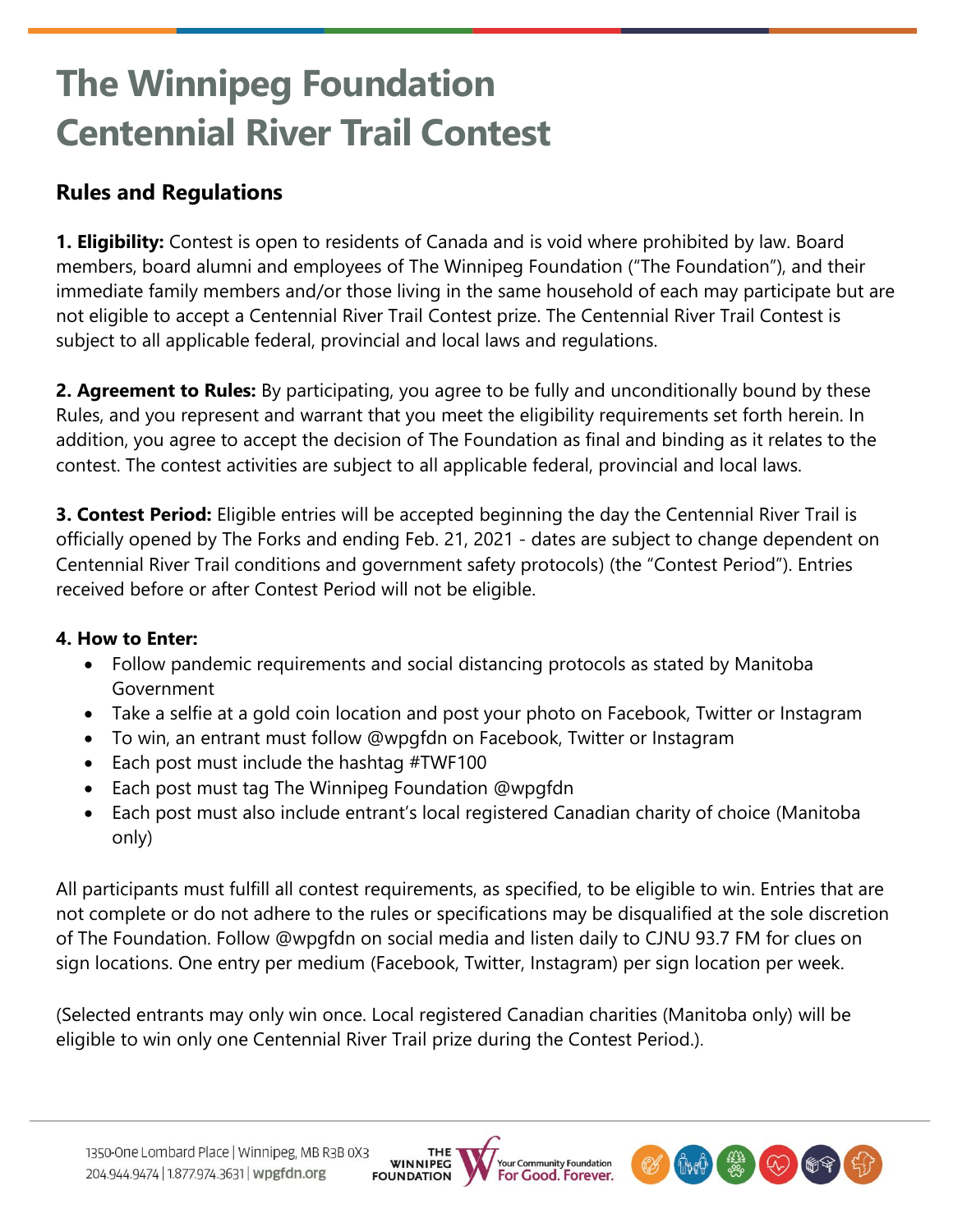## **The Winnipeg Foundation Centennial River Trail Contest**

## **Rules and Regulations**

**1. Eligibility:** Contest is open to residents of Canada and is void where prohibited by law. Board members, board alumni and employees of The Winnipeg Foundation ("The Foundation"), and their immediate family members and/or those living in the same household of each may participate but are not eligible to accept a Centennial River Trail Contest prize. The Centennial River Trail Contest is subject to all applicable federal, provincial and local laws and regulations.

**2. Agreement to Rules:** By participating, you agree to be fully and unconditionally bound by these Rules, and you represent and warrant that you meet the eligibility requirements set forth herein. In addition, you agree to accept the decision of The Foundation as final and binding as it relates to the contest. The contest activities are subject to all applicable federal, provincial and local laws.

**3. Contest Period:** Eligible entries will be accepted beginning the day the Centennial River Trail is officially opened by The Forks and ending Feb. 21, 2021 - dates are subject to change dependent on Centennial River Trail conditions and government safety protocols) (the "Contest Period"). Entries received before or after Contest Period will not be eligible.

## **4. How to Enter:**

- Follow pandemic requirements and social distancing protocols as stated by Manitoba Government
- Take a selfie at a gold coin location and post your photo on Facebook, Twitter or Instagram
- To win, an entrant must follow @wpgfdn on Facebook, Twitter or Instagram
- Each post must include the hashtag #TWF100
- Each post must tag The Winnipeg Foundation @wpgfdn
- Each post must also include entrant's local registered Canadian charity of choice (Manitoba only)

All participants must fulfill all contest requirements, as specified, to be eligible to win. Entries that are not complete or do not adhere to the rules or specifications may be disqualified at the sole discretion of The Foundation. Follow @wpgfdn on social media and listen daily to CJNU 93.7 FM for clues on sign locations. One entry per medium (Facebook, Twitter, Instagram) per sign location per week.

(Selected entrants may only win once. Local registered Canadian charities (Manitoba only) will be eligible to win only one Centennial River Trail prize during the Contest Period.).



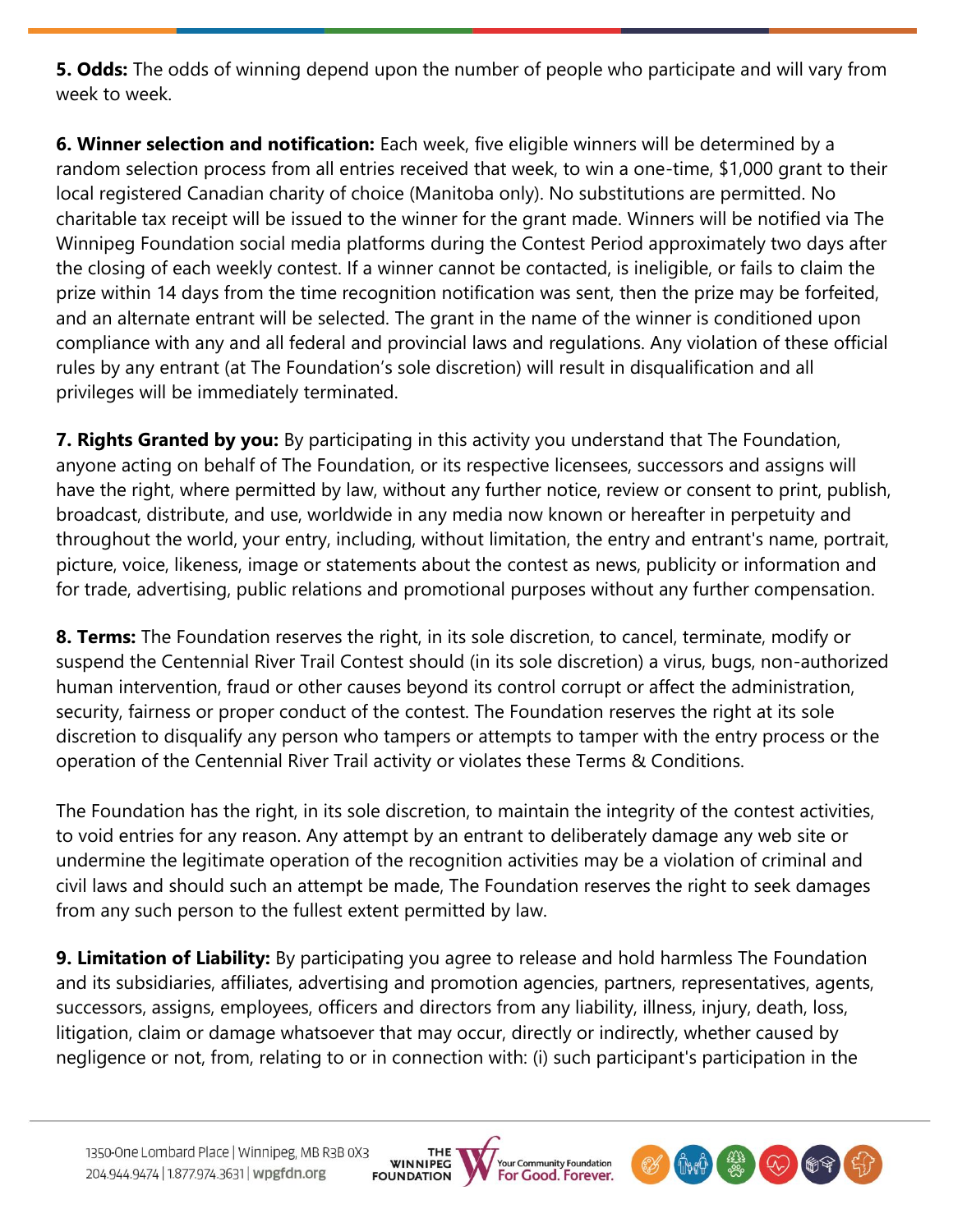**5. Odds:** The odds of winning depend upon the number of people who participate and will vary from week to week.

**6. Winner selection and notification:** Each week, five eligible winners will be determined by a random selection process from all entries received that week, to win a one-time, \$1,000 grant to their local registered Canadian charity of choice (Manitoba only). No substitutions are permitted. No charitable tax receipt will be issued to the winner for the grant made. Winners will be notified via The Winnipeg Foundation social media platforms during the Contest Period approximately two days after the closing of each weekly contest. If a winner cannot be contacted, is ineligible, or fails to claim the prize within 14 days from the time recognition notification was sent, then the prize may be forfeited, and an alternate entrant will be selected. The grant in the name of the winner is conditioned upon compliance with any and all federal and provincial laws and regulations. Any violation of these official rules by any entrant (at The Foundation's sole discretion) will result in disqualification and all privileges will be immediately terminated.

**7. Rights Granted by you:** By participating in this activity you understand that The Foundation, anyone acting on behalf of The Foundation, or its respective licensees, successors and assigns will have the right, where permitted by law, without any further notice, review or consent to print, publish, broadcast, distribute, and use, worldwide in any media now known or hereafter in perpetuity and throughout the world, your entry, including, without limitation, the entry and entrant's name, portrait, picture, voice, likeness, image or statements about the contest as news, publicity or information and for trade, advertising, public relations and promotional purposes without any further compensation.

**8. Terms:** The Foundation reserves the right, in its sole discretion, to cancel, terminate, modify or suspend the Centennial River Trail Contest should (in its sole discretion) a virus, bugs, non-authorized human intervention, fraud or other causes beyond its control corrupt or affect the administration, security, fairness or proper conduct of the contest. The Foundation reserves the right at its sole discretion to disqualify any person who tampers or attempts to tamper with the entry process or the operation of the Centennial River Trail activity or violates these Terms & Conditions.

The Foundation has the right, in its sole discretion, to maintain the integrity of the contest activities, to void entries for any reason. Any attempt by an entrant to deliberately damage any web site or undermine the legitimate operation of the recognition activities may be a violation of criminal and civil laws and should such an attempt be made, The Foundation reserves the right to seek damages from any such person to the fullest extent permitted by law.

**9. Limitation of Liability:** By participating you agree to release and hold harmless The Foundation and its subsidiaries, affiliates, advertising and promotion agencies, partners, representatives, agents, successors, assigns, employees, officers and directors from any liability, illness, injury, death, loss, litigation, claim or damage whatsoever that may occur, directly or indirectly, whether caused by negligence or not, from, relating to or in connection with: (i) such participant's participation in the